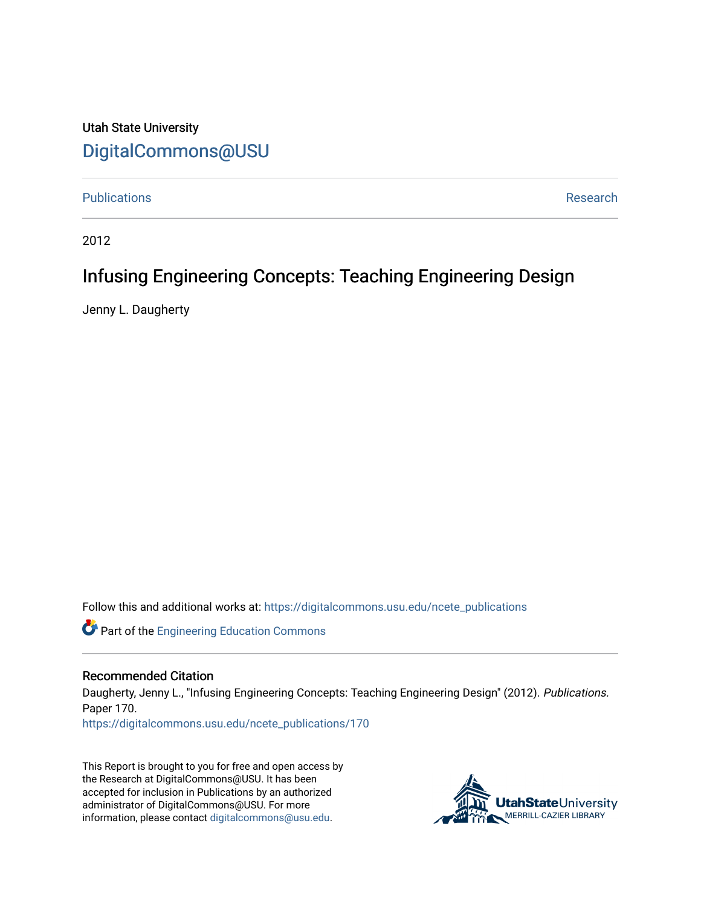### Utah State University [DigitalCommons@USU](https://digitalcommons.usu.edu/)

[Publications](https://digitalcommons.usu.edu/ncete_publications) **Research Research Research Research Research Research Research** 

2012

## Infusing Engineering Concepts: Teaching Engineering Design

Jenny L. Daugherty

Follow this and additional works at: [https://digitalcommons.usu.edu/ncete\\_publications](https://digitalcommons.usu.edu/ncete_publications?utm_source=digitalcommons.usu.edu%2Fncete_publications%2F170&utm_medium=PDF&utm_campaign=PDFCoverPages) 

**C** Part of the Engineering Education Commons

#### Recommended Citation

Daugherty, Jenny L., "Infusing Engineering Concepts: Teaching Engineering Design" (2012). Publications. Paper 170.

[https://digitalcommons.usu.edu/ncete\\_publications/170](https://digitalcommons.usu.edu/ncete_publications/170?utm_source=digitalcommons.usu.edu%2Fncete_publications%2F170&utm_medium=PDF&utm_campaign=PDFCoverPages) 

This Report is brought to you for free and open access by the Research at DigitalCommons@USU. It has been accepted for inclusion in Publications by an authorized administrator of DigitalCommons@USU. For more information, please contact [digitalcommons@usu.edu](mailto:digitalcommons@usu.edu).

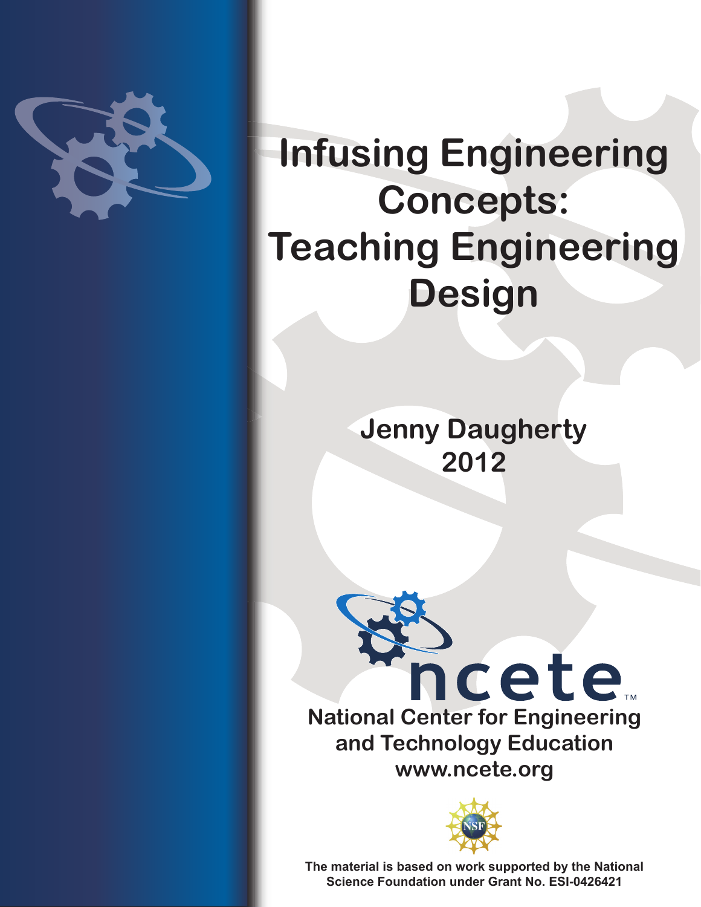

# **Infusing Engineering Concepts: Teaching Engineering Design**

**Jenny Daugherty 2012**





**The material is based on work supported by the National Science Foundation under Grant No. ESI-0426421**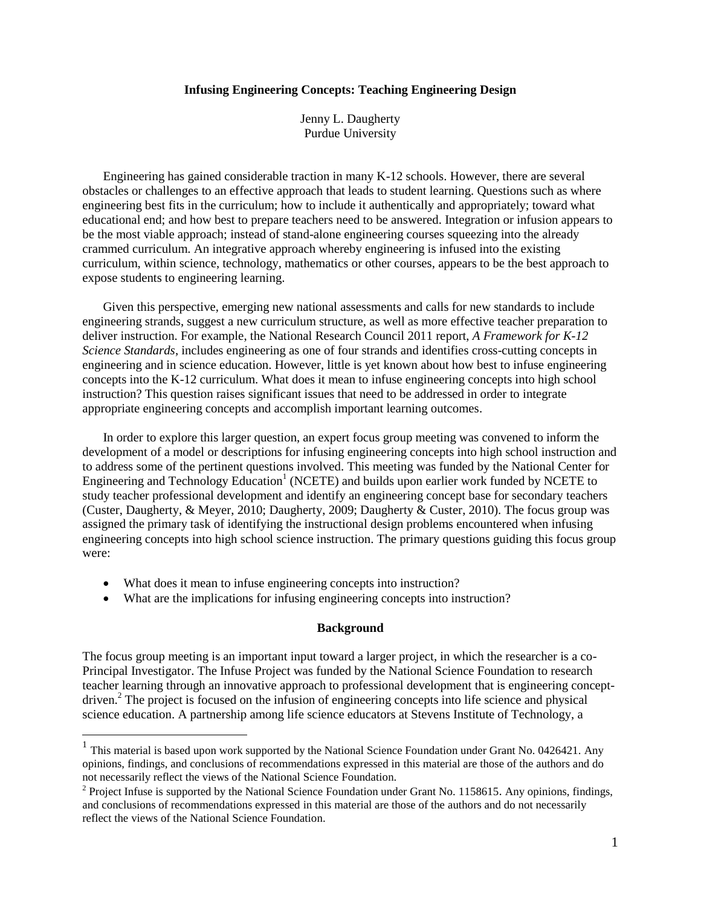#### **Infusing Engineering Concepts: Teaching Engineering Design**

Jenny L. Daugherty Purdue University

Engineering has gained considerable traction in many K-12 schools. However, there are several obstacles or challenges to an effective approach that leads to student learning. Questions such as where engineering best fits in the curriculum; how to include it authentically and appropriately; toward what educational end; and how best to prepare teachers need to be answered. Integration or infusion appears to be the most viable approach; instead of stand-alone engineering courses squeezing into the already crammed curriculum. An integrative approach whereby engineering is infused into the existing curriculum, within science, technology, mathematics or other courses, appears to be the best approach to expose students to engineering learning.

Given this perspective, emerging new national assessments and calls for new standards to include engineering strands, suggest a new curriculum structure, as well as more effective teacher preparation to deliver instruction. For example, the National Research Council 2011 report, *A Framework for K-12 Science Standards*, includes engineering as one of four strands and identifies cross-cutting concepts in engineering and in science education. However, little is yet known about how best to infuse engineering concepts into the K-12 curriculum. What does it mean to infuse engineering concepts into high school instruction? This question raises significant issues that need to be addressed in order to integrate appropriate engineering concepts and accomplish important learning outcomes.

In order to explore this larger question, an expert focus group meeting was convened to inform the development of a model or descriptions for infusing engineering concepts into high school instruction and to address some of the pertinent questions involved. This meeting was funded by the National Center for Engineering and Technology Education<sup>1</sup> (NCETE) and builds upon earlier work funded by NCETE to study teacher professional development and identify an engineering concept base for secondary teachers (Custer, Daugherty, & Meyer, 2010; Daugherty, 2009; Daugherty & Custer, 2010). The focus group was assigned the primary task of identifying the instructional design problems encountered when infusing engineering concepts into high school science instruction. The primary questions guiding this focus group were:

What does it mean to infuse engineering concepts into instruction?

 $\overline{a}$ 

What are the implications for infusing engineering concepts into instruction?

#### **Background**

The focus group meeting is an important input toward a larger project, in which the researcher is a co-Principal Investigator. The Infuse Project was funded by the National Science Foundation to research teacher learning through an innovative approach to professional development that is engineering conceptdriven.<sup>2</sup> The project is focused on the infusion of engineering concepts into life science and physical science education. A partnership among life science educators at Stevens Institute of Technology, a

<sup>&</sup>lt;sup>1</sup> This material is based upon work supported by the National Science Foundation under Grant No. 0426421. Any opinions, findings, and conclusions of recommendations expressed in this material are those of the authors and do not necessarily reflect the views of the National Science Foundation.

<sup>&</sup>lt;sup>2</sup> Project Infuse is supported by the National Science Foundation under Grant No. 1158615. Any opinions, findings, and conclusions of recommendations expressed in this material are those of the authors and do not necessarily reflect the views of the National Science Foundation.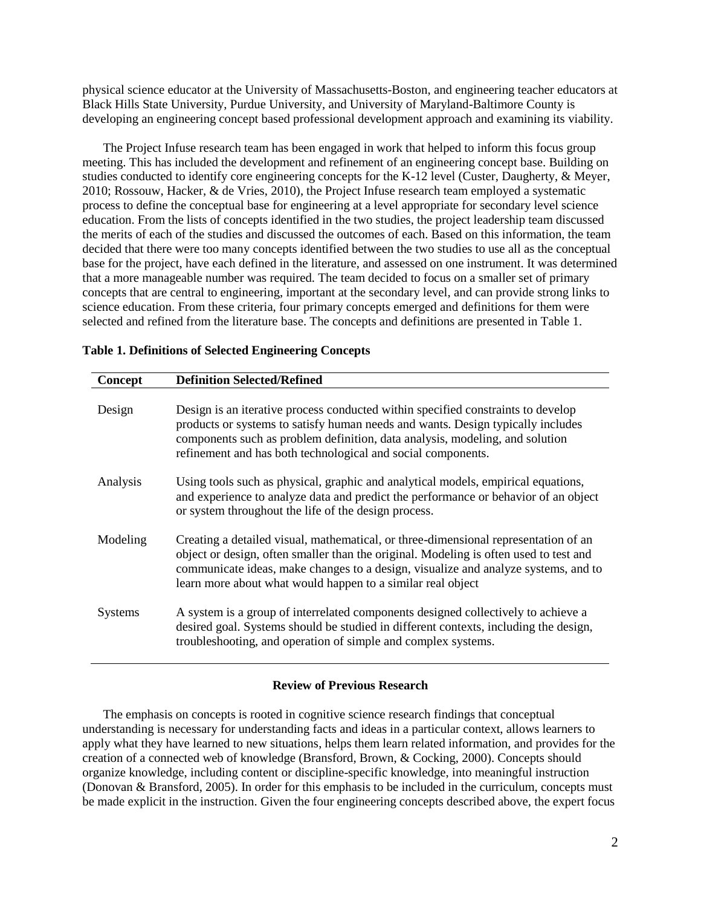physical science educator at the University of Massachusetts-Boston, and engineering teacher educators at Black Hills State University, Purdue University, and University of Maryland-Baltimore County is developing an engineering concept based professional development approach and examining its viability.

The Project Infuse research team has been engaged in work that helped to inform this focus group meeting. This has included the development and refinement of an engineering concept base. Building on studies conducted to identify core engineering concepts for the K-12 level (Custer, Daugherty, & Meyer, 2010; Rossouw, Hacker, & de Vries, 2010), the Project Infuse research team employed a systematic process to define the conceptual base for engineering at a level appropriate for secondary level science education. From the lists of concepts identified in the two studies, the project leadership team discussed the merits of each of the studies and discussed the outcomes of each. Based on this information, the team decided that there were too many concepts identified between the two studies to use all as the conceptual base for the project, have each defined in the literature, and assessed on one instrument. It was determined that a more manageable number was required. The team decided to focus on a smaller set of primary concepts that are central to engineering, important at the secondary level, and can provide strong links to science education. From these criteria, four primary concepts emerged and definitions for them were selected and refined from the literature base. The concepts and definitions are presented in Table 1.

| Concept        | <b>Definition Selected/Refined</b>                                                                                                                                                                                                                                                                                                |
|----------------|-----------------------------------------------------------------------------------------------------------------------------------------------------------------------------------------------------------------------------------------------------------------------------------------------------------------------------------|
| Design         | Design is an iterative process conducted within specified constraints to develop<br>products or systems to satisfy human needs and wants. Design typically includes<br>components such as problem definition, data analysis, modeling, and solution<br>refinement and has both technological and social components.               |
| Analysis       | Using tools such as physical, graphic and analytical models, empirical equations,<br>and experience to analyze data and predict the performance or behavior of an object<br>or system throughout the life of the design process.                                                                                                  |
| Modeling       | Creating a detailed visual, mathematical, or three-dimensional representation of an<br>object or design, often smaller than the original. Modeling is often used to test and<br>communicate ideas, make changes to a design, visualize and analyze systems, and to<br>learn more about what would happen to a similar real object |
| <b>Systems</b> | A system is a group of interrelated components designed collectively to achieve a<br>desired goal. Systems should be studied in different contexts, including the design,<br>troubleshooting, and operation of simple and complex systems.                                                                                        |

#### **Review of Previous Research**

The emphasis on concepts is rooted in cognitive science research findings that conceptual understanding is necessary for understanding facts and ideas in a particular context, allows learners to apply what they have learned to new situations, helps them learn related information, and provides for the creation of a connected web of knowledge (Bransford, Brown, & Cocking, 2000). Concepts should organize knowledge, including content or discipline-specific knowledge, into meaningful instruction (Donovan & Bransford, 2005). In order for this emphasis to be included in the curriculum, concepts must be made explicit in the instruction. Given the four engineering concepts described above, the expert focus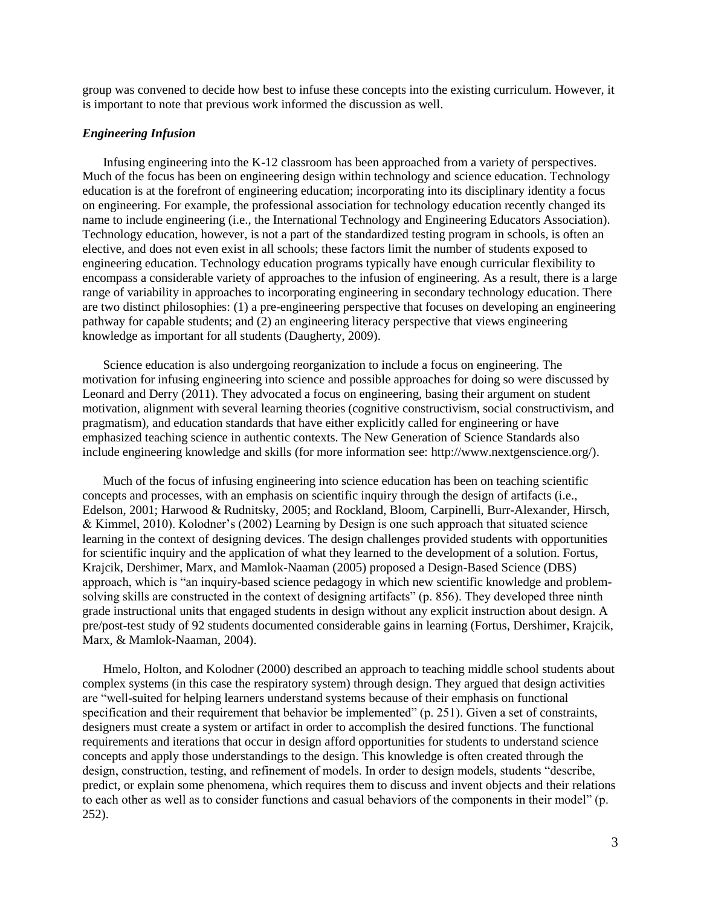group was convened to decide how best to infuse these concepts into the existing curriculum. However, it is important to note that previous work informed the discussion as well.

#### *Engineering Infusion*

Infusing engineering into the K-12 classroom has been approached from a variety of perspectives. Much of the focus has been on engineering design within technology and science education. Technology education is at the forefront of engineering education; incorporating into its disciplinary identity a focus on engineering. For example, the professional association for technology education recently changed its name to include engineering (i.e., the International Technology and Engineering Educators Association). Technology education, however, is not a part of the standardized testing program in schools, is often an elective, and does not even exist in all schools; these factors limit the number of students exposed to engineering education. Technology education programs typically have enough curricular flexibility to encompass a considerable variety of approaches to the infusion of engineering. As a result, there is a large range of variability in approaches to incorporating engineering in secondary technology education. There are two distinct philosophies: (1) a pre-engineering perspective that focuses on developing an engineering pathway for capable students; and (2) an engineering literacy perspective that views engineering knowledge as important for all students (Daugherty, 2009).

Science education is also undergoing reorganization to include a focus on engineering. The motivation for infusing engineering into science and possible approaches for doing so were discussed by Leonard and Derry (2011). They advocated a focus on engineering, basing their argument on student motivation, alignment with several learning theories (cognitive constructivism, social constructivism, and pragmatism), and education standards that have either explicitly called for engineering or have emphasized teaching science in authentic contexts. The New Generation of Science Standards also include engineering knowledge and skills (for more information see: http://www.nextgenscience.org/).

Much of the focus of infusing engineering into science education has been on teaching scientific concepts and processes, with an emphasis on scientific inquiry through the design of artifacts (i.e., Edelson, 2001; Harwood & Rudnitsky, 2005; and Rockland, Bloom, Carpinelli, Burr-Alexander, Hirsch, & Kimmel, 2010). Kolodner's (2002) Learning by Design is one such approach that situated science learning in the context of designing devices. The design challenges provided students with opportunities for scientific inquiry and the application of what they learned to the development of a solution. Fortus, Krajcik, Dershimer, Marx, and Mamlok-Naaman (2005) proposed a Design-Based Science (DBS) approach, which is "an inquiry-based science pedagogy in which new scientific knowledge and problemsolving skills are constructed in the context of designing artifacts" (p. 856). They developed three ninth grade instructional units that engaged students in design without any explicit instruction about design. A pre/post-test study of 92 students documented considerable gains in learning (Fortus, Dershimer, Krajcik, Marx, & Mamlok-Naaman, 2004).

Hmelo, Holton, and Kolodner (2000) described an approach to teaching middle school students about complex systems (in this case the respiratory system) through design. They argued that design activities are "well-suited for helping learners understand systems because of their emphasis on functional specification and their requirement that behavior be implemented" (p. 251). Given a set of constraints, designers must create a system or artifact in order to accomplish the desired functions. The functional requirements and iterations that occur in design afford opportunities for students to understand science concepts and apply those understandings to the design. This knowledge is often created through the design, construction, testing, and refinement of models. In order to design models, students "describe, predict, or explain some phenomena, which requires them to discuss and invent objects and their relations to each other as well as to consider functions and casual behaviors of the components in their model" (p. 252).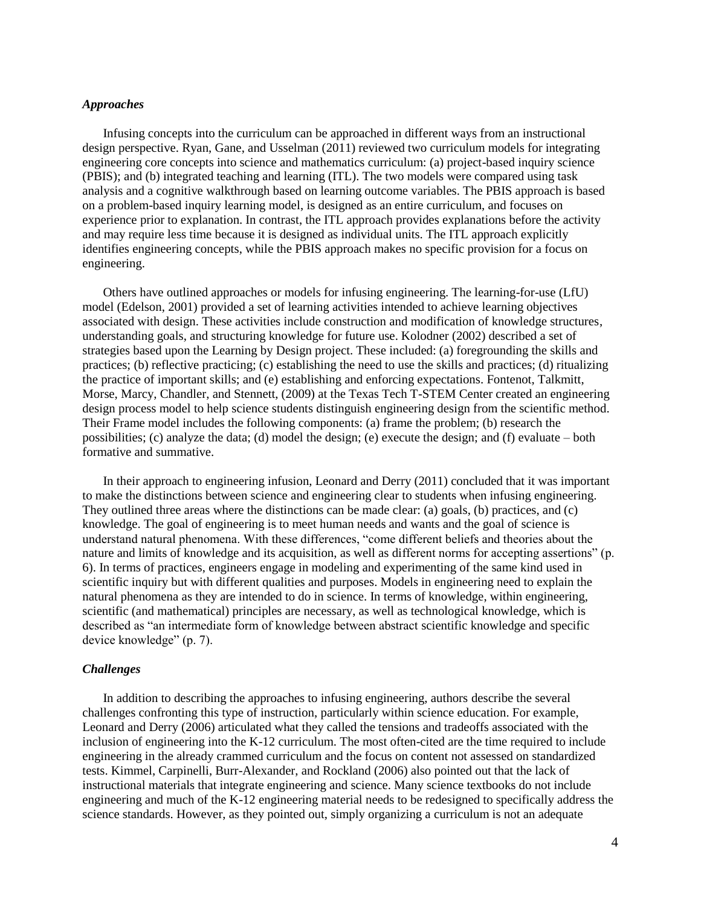#### *Approaches*

Infusing concepts into the curriculum can be approached in different ways from an instructional design perspective. Ryan, Gane, and Usselman (2011) reviewed two curriculum models for integrating engineering core concepts into science and mathematics curriculum: (a) project-based inquiry science (PBIS); and (b) integrated teaching and learning (ITL). The two models were compared using task analysis and a cognitive walkthrough based on learning outcome variables. The PBIS approach is based on a problem-based inquiry learning model, is designed as an entire curriculum, and focuses on experience prior to explanation. In contrast, the ITL approach provides explanations before the activity and may require less time because it is designed as individual units. The ITL approach explicitly identifies engineering concepts, while the PBIS approach makes no specific provision for a focus on engineering.

Others have outlined approaches or models for infusing engineering. The learning-for-use (LfU) model (Edelson, 2001) provided a set of learning activities intended to achieve learning objectives associated with design. These activities include construction and modification of knowledge structures, understanding goals, and structuring knowledge for future use. Kolodner (2002) described a set of strategies based upon the Learning by Design project. These included: (a) foregrounding the skills and practices; (b) reflective practicing; (c) establishing the need to use the skills and practices; (d) ritualizing the practice of important skills; and (e) establishing and enforcing expectations. Fontenot, Talkmitt, Morse, Marcy, Chandler, and Stennett, (2009) at the Texas Tech T-STEM Center created an engineering design process model to help science students distinguish engineering design from the scientific method. Their Frame model includes the following components: (a) frame the problem; (b) research the possibilities; (c) analyze the data; (d) model the design; (e) execute the design; and (f) evaluate – both formative and summative.

In their approach to engineering infusion, Leonard and Derry (2011) concluded that it was important to make the distinctions between science and engineering clear to students when infusing engineering. They outlined three areas where the distinctions can be made clear: (a) goals, (b) practices, and (c) knowledge. The goal of engineering is to meet human needs and wants and the goal of science is understand natural phenomena. With these differences, "come different beliefs and theories about the nature and limits of knowledge and its acquisition, as well as different norms for accepting assertions" (p. 6). In terms of practices, engineers engage in modeling and experimenting of the same kind used in scientific inquiry but with different qualities and purposes. Models in engineering need to explain the natural phenomena as they are intended to do in science. In terms of knowledge, within engineering, scientific (and mathematical) principles are necessary, as well as technological knowledge, which is described as "an intermediate form of knowledge between abstract scientific knowledge and specific device knowledge" (p. 7).

#### *Challenges*

In addition to describing the approaches to infusing engineering, authors describe the several challenges confronting this type of instruction, particularly within science education. For example, Leonard and Derry (2006) articulated what they called the tensions and tradeoffs associated with the inclusion of engineering into the K-12 curriculum. The most often-cited are the time required to include engineering in the already crammed curriculum and the focus on content not assessed on standardized tests. Kimmel, Carpinelli, Burr-Alexander, and Rockland (2006) also pointed out that the lack of instructional materials that integrate engineering and science. Many science textbooks do not include engineering and much of the K-12 engineering material needs to be redesigned to specifically address the science standards. However, as they pointed out, simply organizing a curriculum is not an adequate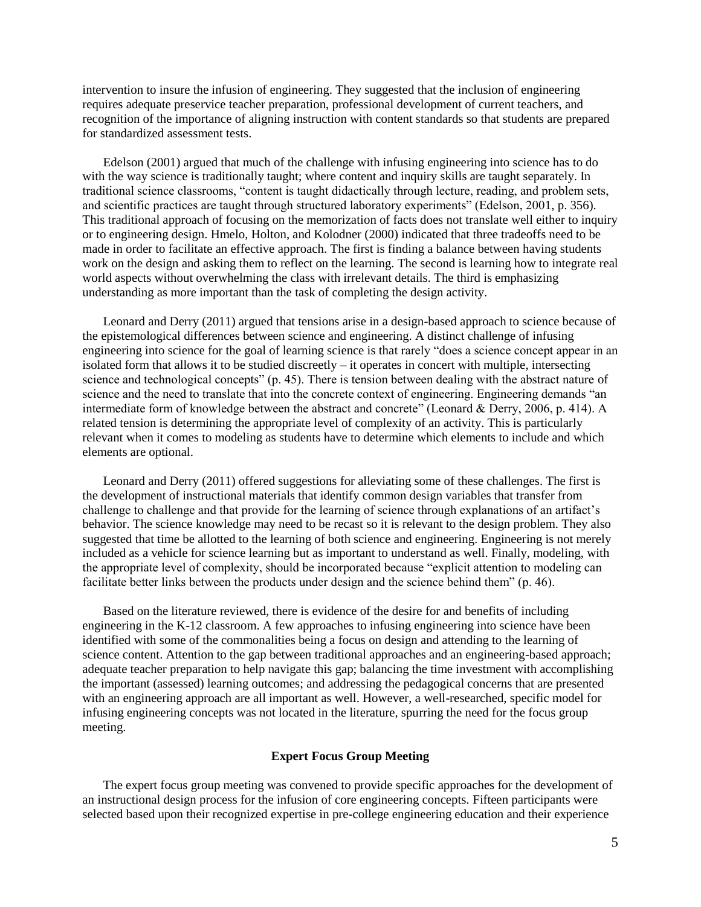intervention to insure the infusion of engineering. They suggested that the inclusion of engineering requires adequate preservice teacher preparation, professional development of current teachers, and recognition of the importance of aligning instruction with content standards so that students are prepared for standardized assessment tests.

Edelson (2001) argued that much of the challenge with infusing engineering into science has to do with the way science is traditionally taught; where content and inquiry skills are taught separately. In traditional science classrooms, "content is taught didactically through lecture, reading, and problem sets, and scientific practices are taught through structured laboratory experiments" (Edelson, 2001, p. 356). This traditional approach of focusing on the memorization of facts does not translate well either to inquiry or to engineering design. Hmelo, Holton, and Kolodner (2000) indicated that three tradeoffs need to be made in order to facilitate an effective approach. The first is finding a balance between having students work on the design and asking them to reflect on the learning. The second is learning how to integrate real world aspects without overwhelming the class with irrelevant details. The third is emphasizing understanding as more important than the task of completing the design activity.

Leonard and Derry (2011) argued that tensions arise in a design-based approach to science because of the epistemological differences between science and engineering. A distinct challenge of infusing engineering into science for the goal of learning science is that rarely "does a science concept appear in an isolated form that allows it to be studied discreetly – it operates in concert with multiple, intersecting science and technological concepts" (p. 45). There is tension between dealing with the abstract nature of science and the need to translate that into the concrete context of engineering. Engineering demands "an intermediate form of knowledge between the abstract and concrete" (Leonard & Derry, 2006, p. 414). A related tension is determining the appropriate level of complexity of an activity. This is particularly relevant when it comes to modeling as students have to determine which elements to include and which elements are optional.

Leonard and Derry (2011) offered suggestions for alleviating some of these challenges. The first is the development of instructional materials that identify common design variables that transfer from challenge to challenge and that provide for the learning of science through explanations of an artifact's behavior. The science knowledge may need to be recast so it is relevant to the design problem. They also suggested that time be allotted to the learning of both science and engineering. Engineering is not merely included as a vehicle for science learning but as important to understand as well. Finally, modeling, with the appropriate level of complexity, should be incorporated because "explicit attention to modeling can facilitate better links between the products under design and the science behind them" (p. 46).

Based on the literature reviewed, there is evidence of the desire for and benefits of including engineering in the K-12 classroom. A few approaches to infusing engineering into science have been identified with some of the commonalities being a focus on design and attending to the learning of science content. Attention to the gap between traditional approaches and an engineering-based approach; adequate teacher preparation to help navigate this gap; balancing the time investment with accomplishing the important (assessed) learning outcomes; and addressing the pedagogical concerns that are presented with an engineering approach are all important as well. However, a well-researched, specific model for infusing engineering concepts was not located in the literature, spurring the need for the focus group meeting.

#### **Expert Focus Group Meeting**

The expert focus group meeting was convened to provide specific approaches for the development of an instructional design process for the infusion of core engineering concepts. Fifteen participants were selected based upon their recognized expertise in pre-college engineering education and their experience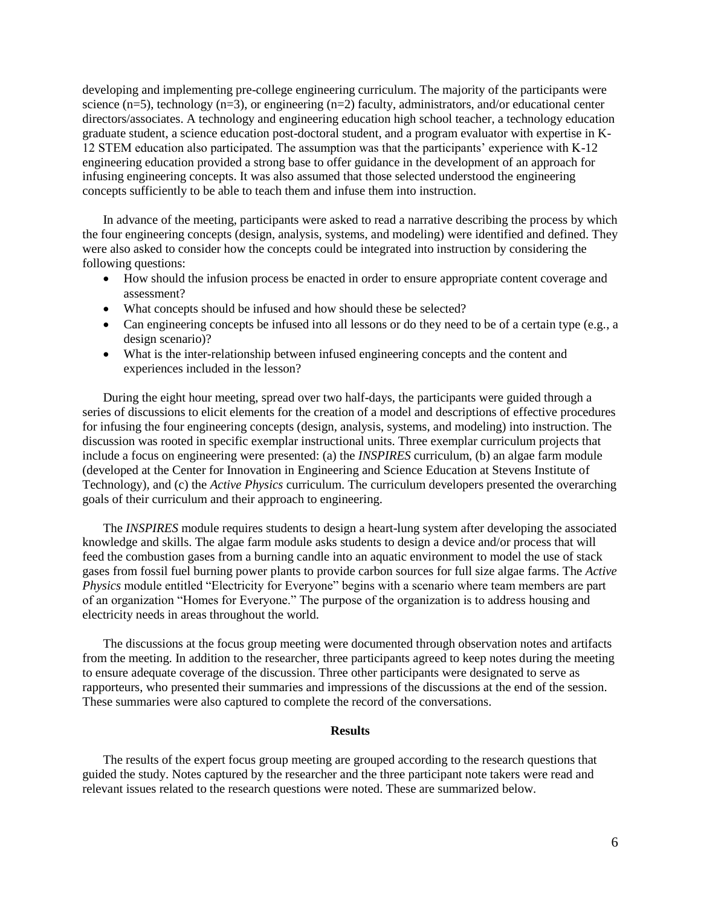developing and implementing pre-college engineering curriculum. The majority of the participants were science  $(n=5)$ , technology  $(n=3)$ , or engineering  $(n=2)$  faculty, administrators, and/or educational center directors/associates. A technology and engineering education high school teacher, a technology education graduate student, a science education post-doctoral student, and a program evaluator with expertise in K-12 STEM education also participated. The assumption was that the participants' experience with K-12 engineering education provided a strong base to offer guidance in the development of an approach for infusing engineering concepts. It was also assumed that those selected understood the engineering concepts sufficiently to be able to teach them and infuse them into instruction.

In advance of the meeting, participants were asked to read a narrative describing the process by which the four engineering concepts (design, analysis, systems, and modeling) were identified and defined. They were also asked to consider how the concepts could be integrated into instruction by considering the following questions:

- How should the infusion process be enacted in order to ensure appropriate content coverage and assessment?
- What concepts should be infused and how should these be selected?
- Can engineering concepts be infused into all lessons or do they need to be of a certain type (e.g., a design scenario)?
- What is the inter-relationship between infused engineering concepts and the content and experiences included in the lesson?

During the eight hour meeting, spread over two half-days, the participants were guided through a series of discussions to elicit elements for the creation of a model and descriptions of effective procedures for infusing the four engineering concepts (design, analysis, systems, and modeling) into instruction. The discussion was rooted in specific exemplar instructional units. Three exemplar curriculum projects that include a focus on engineering were presented: (a) the *INSPIRES* curriculum, (b) an algae farm module (developed at the Center for Innovation in Engineering and Science Education at Stevens Institute of Technology), and (c) the *Active Physics* curriculum. The curriculum developers presented the overarching goals of their curriculum and their approach to engineering.

The *INSPIRES* module requires students to design a heart-lung system after developing the associated knowledge and skills. The algae farm module asks students to design a device and/or process that will feed the combustion gases from a burning candle into an aquatic environment to model the use of stack gases from fossil fuel burning power plants to provide carbon sources for full size algae farms. The *Active Physics* module entitled "Electricity for Everyone" begins with a scenario where team members are part of an organization "Homes for Everyone." The purpose of the organization is to address housing and electricity needs in areas throughout the world.

The discussions at the focus group meeting were documented through observation notes and artifacts from the meeting. In addition to the researcher, three participants agreed to keep notes during the meeting to ensure adequate coverage of the discussion. Three other participants were designated to serve as rapporteurs, who presented their summaries and impressions of the discussions at the end of the session. These summaries were also captured to complete the record of the conversations.

#### **Results**

The results of the expert focus group meeting are grouped according to the research questions that guided the study. Notes captured by the researcher and the three participant note takers were read and relevant issues related to the research questions were noted. These are summarized below.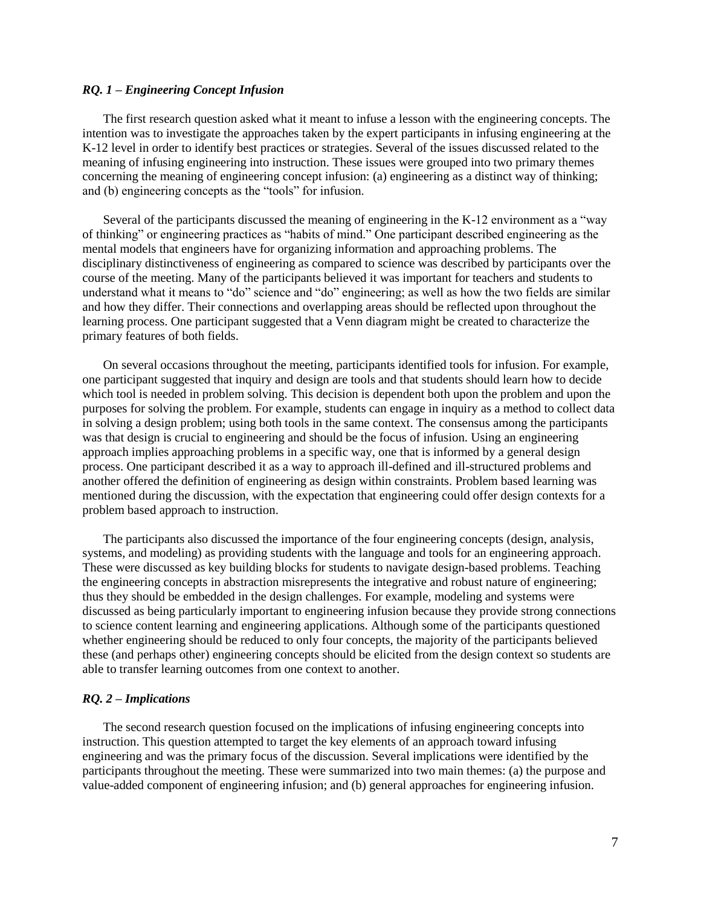#### *RQ. 1 – Engineering Concept Infusion*

The first research question asked what it meant to infuse a lesson with the engineering concepts. The intention was to investigate the approaches taken by the expert participants in infusing engineering at the K-12 level in order to identify best practices or strategies. Several of the issues discussed related to the meaning of infusing engineering into instruction. These issues were grouped into two primary themes concerning the meaning of engineering concept infusion: (a) engineering as a distinct way of thinking; and (b) engineering concepts as the "tools" for infusion.

Several of the participants discussed the meaning of engineering in the K-12 environment as a "way of thinking" or engineering practices as "habits of mind." One participant described engineering as the mental models that engineers have for organizing information and approaching problems. The disciplinary distinctiveness of engineering as compared to science was described by participants over the course of the meeting. Many of the participants believed it was important for teachers and students to understand what it means to "do" science and "do" engineering; as well as how the two fields are similar and how they differ. Their connections and overlapping areas should be reflected upon throughout the learning process. One participant suggested that a Venn diagram might be created to characterize the primary features of both fields.

On several occasions throughout the meeting, participants identified tools for infusion. For example, one participant suggested that inquiry and design are tools and that students should learn how to decide which tool is needed in problem solving. This decision is dependent both upon the problem and upon the purposes for solving the problem. For example, students can engage in inquiry as a method to collect data in solving a design problem; using both tools in the same context. The consensus among the participants was that design is crucial to engineering and should be the focus of infusion. Using an engineering approach implies approaching problems in a specific way, one that is informed by a general design process. One participant described it as a way to approach ill-defined and ill-structured problems and another offered the definition of engineering as design within constraints. Problem based learning was mentioned during the discussion, with the expectation that engineering could offer design contexts for a problem based approach to instruction.

The participants also discussed the importance of the four engineering concepts (design, analysis, systems, and modeling) as providing students with the language and tools for an engineering approach. These were discussed as key building blocks for students to navigate design-based problems. Teaching the engineering concepts in abstraction misrepresents the integrative and robust nature of engineering; thus they should be embedded in the design challenges. For example, modeling and systems were discussed as being particularly important to engineering infusion because they provide strong connections to science content learning and engineering applications. Although some of the participants questioned whether engineering should be reduced to only four concepts, the majority of the participants believed these (and perhaps other) engineering concepts should be elicited from the design context so students are able to transfer learning outcomes from one context to another.

#### *RQ. 2 – Implications*

The second research question focused on the implications of infusing engineering concepts into instruction. This question attempted to target the key elements of an approach toward infusing engineering and was the primary focus of the discussion. Several implications were identified by the participants throughout the meeting. These were summarized into two main themes: (a) the purpose and value-added component of engineering infusion; and (b) general approaches for engineering infusion.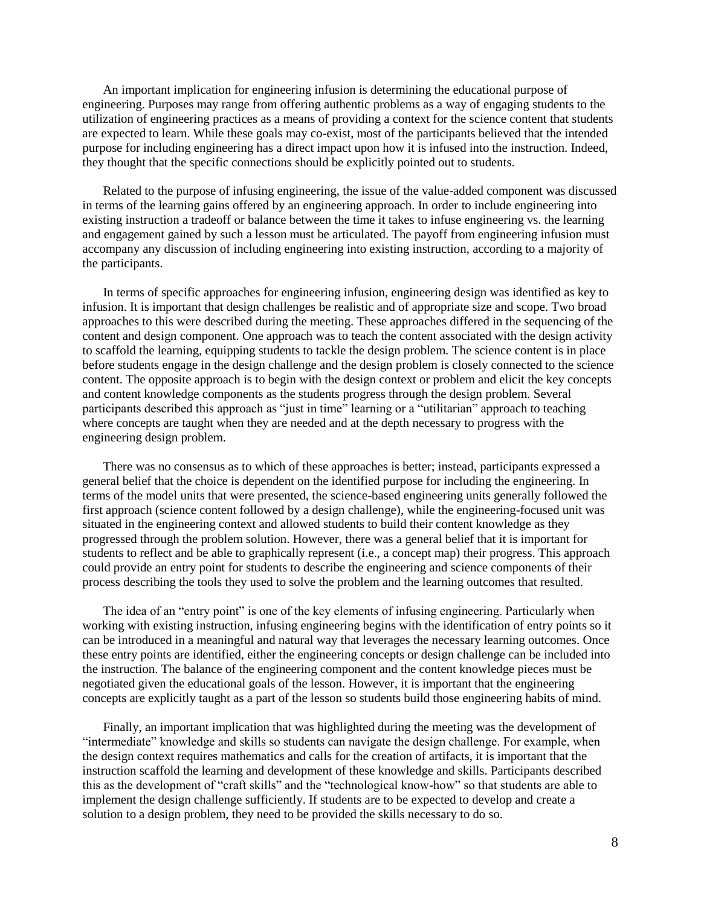An important implication for engineering infusion is determining the educational purpose of engineering. Purposes may range from offering authentic problems as a way of engaging students to the utilization of engineering practices as a means of providing a context for the science content that students are expected to learn. While these goals may co-exist, most of the participants believed that the intended purpose for including engineering has a direct impact upon how it is infused into the instruction. Indeed, they thought that the specific connections should be explicitly pointed out to students.

Related to the purpose of infusing engineering, the issue of the value-added component was discussed in terms of the learning gains offered by an engineering approach. In order to include engineering into existing instruction a tradeoff or balance between the time it takes to infuse engineering vs. the learning and engagement gained by such a lesson must be articulated. The payoff from engineering infusion must accompany any discussion of including engineering into existing instruction, according to a majority of the participants.

In terms of specific approaches for engineering infusion, engineering design was identified as key to infusion. It is important that design challenges be realistic and of appropriate size and scope. Two broad approaches to this were described during the meeting. These approaches differed in the sequencing of the content and design component. One approach was to teach the content associated with the design activity to scaffold the learning, equipping students to tackle the design problem. The science content is in place before students engage in the design challenge and the design problem is closely connected to the science content. The opposite approach is to begin with the design context or problem and elicit the key concepts and content knowledge components as the students progress through the design problem. Several participants described this approach as "just in time" learning or a "utilitarian" approach to teaching where concepts are taught when they are needed and at the depth necessary to progress with the engineering design problem.

There was no consensus as to which of these approaches is better; instead, participants expressed a general belief that the choice is dependent on the identified purpose for including the engineering. In terms of the model units that were presented, the science-based engineering units generally followed the first approach (science content followed by a design challenge), while the engineering-focused unit was situated in the engineering context and allowed students to build their content knowledge as they progressed through the problem solution. However, there was a general belief that it is important for students to reflect and be able to graphically represent (i.e., a concept map) their progress. This approach could provide an entry point for students to describe the engineering and science components of their process describing the tools they used to solve the problem and the learning outcomes that resulted.

The idea of an "entry point" is one of the key elements of infusing engineering. Particularly when working with existing instruction, infusing engineering begins with the identification of entry points so it can be introduced in a meaningful and natural way that leverages the necessary learning outcomes. Once these entry points are identified, either the engineering concepts or design challenge can be included into the instruction. The balance of the engineering component and the content knowledge pieces must be negotiated given the educational goals of the lesson. However, it is important that the engineering concepts are explicitly taught as a part of the lesson so students build those engineering habits of mind.

Finally, an important implication that was highlighted during the meeting was the development of "intermediate" knowledge and skills so students can navigate the design challenge. For example, when the design context requires mathematics and calls for the creation of artifacts, it is important that the instruction scaffold the learning and development of these knowledge and skills. Participants described this as the development of "craft skills" and the "technological know-how" so that students are able to implement the design challenge sufficiently. If students are to be expected to develop and create a solution to a design problem, they need to be provided the skills necessary to do so.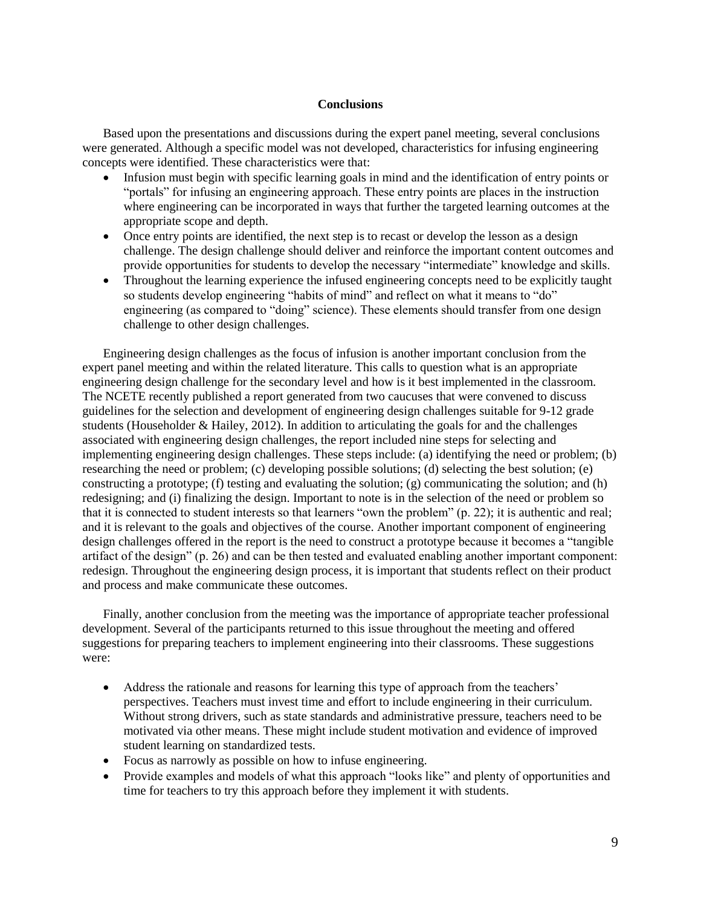#### **Conclusions**

Based upon the presentations and discussions during the expert panel meeting, several conclusions were generated. Although a specific model was not developed, characteristics for infusing engineering concepts were identified. These characteristics were that:

- Infusion must begin with specific learning goals in mind and the identification of entry points or "portals" for infusing an engineering approach. These entry points are places in the instruction where engineering can be incorporated in ways that further the targeted learning outcomes at the appropriate scope and depth.
- Once entry points are identified, the next step is to recast or develop the lesson as a design challenge. The design challenge should deliver and reinforce the important content outcomes and provide opportunities for students to develop the necessary "intermediate" knowledge and skills.
- Throughout the learning experience the infused engineering concepts need to be explicitly taught so students develop engineering "habits of mind" and reflect on what it means to "do" engineering (as compared to "doing" science). These elements should transfer from one design challenge to other design challenges.

Engineering design challenges as the focus of infusion is another important conclusion from the expert panel meeting and within the related literature. This calls to question what is an appropriate engineering design challenge for the secondary level and how is it best implemented in the classroom. The NCETE recently published a report generated from two caucuses that were convened to discuss guidelines for the selection and development of engineering design challenges suitable for 9-12 grade students (Householder & Hailey, 2012). In addition to articulating the goals for and the challenges associated with engineering design challenges, the report included nine steps for selecting and implementing engineering design challenges. These steps include: (a) identifying the need or problem; (b) researching the need or problem; (c) developing possible solutions; (d) selecting the best solution; (e) constructing a prototype; (f) testing and evaluating the solution; (g) communicating the solution; and (h) redesigning; and (i) finalizing the design. Important to note is in the selection of the need or problem so that it is connected to student interests so that learners "own the problem" (p. 22); it is authentic and real; and it is relevant to the goals and objectives of the course. Another important component of engineering design challenges offered in the report is the need to construct a prototype because it becomes a "tangible artifact of the design" (p. 26) and can be then tested and evaluated enabling another important component: redesign. Throughout the engineering design process, it is important that students reflect on their product and process and make communicate these outcomes.

Finally, another conclusion from the meeting was the importance of appropriate teacher professional development. Several of the participants returned to this issue throughout the meeting and offered suggestions for preparing teachers to implement engineering into their classrooms. These suggestions were:

- Address the rationale and reasons for learning this type of approach from the teachers' perspectives. Teachers must invest time and effort to include engineering in their curriculum. Without strong drivers, such as state standards and administrative pressure, teachers need to be motivated via other means. These might include student motivation and evidence of improved student learning on standardized tests.
- Focus as narrowly as possible on how to infuse engineering.
- Provide examples and models of what this approach "looks like" and plenty of opportunities and time for teachers to try this approach before they implement it with students.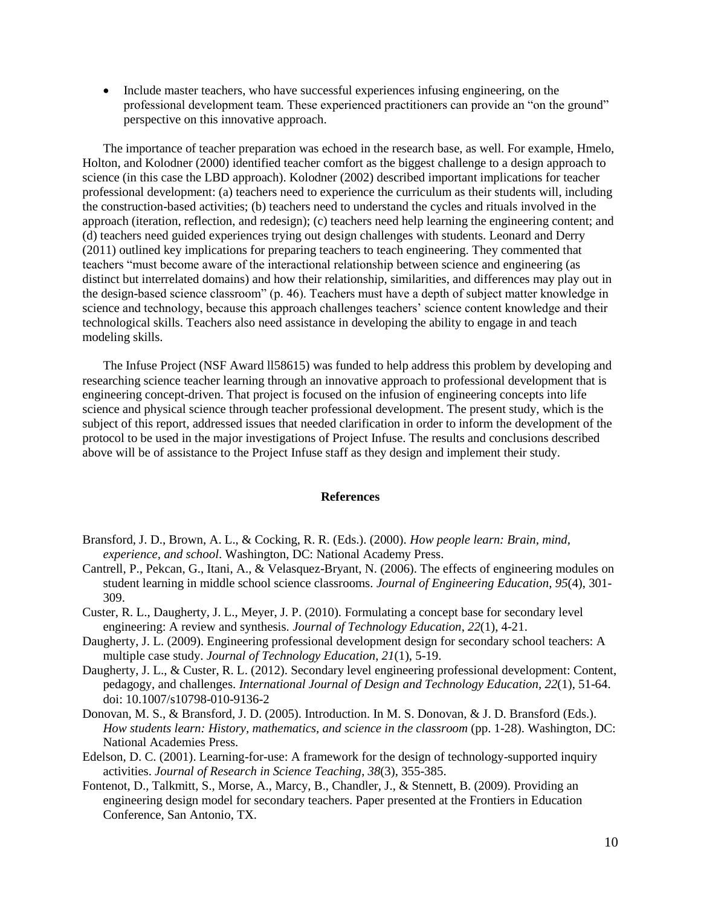• Include master teachers, who have successful experiences infusing engineering, on the professional development team. These experienced practitioners can provide an "on the ground" perspective on this innovative approach.

The importance of teacher preparation was echoed in the research base, as well. For example, Hmelo, Holton, and Kolodner (2000) identified teacher comfort as the biggest challenge to a design approach to science (in this case the LBD approach). Kolodner (2002) described important implications for teacher professional development: (a) teachers need to experience the curriculum as their students will, including the construction-based activities; (b) teachers need to understand the cycles and rituals involved in the approach (iteration, reflection, and redesign); (c) teachers need help learning the engineering content; and (d) teachers need guided experiences trying out design challenges with students. Leonard and Derry (2011) outlined key implications for preparing teachers to teach engineering. They commented that teachers "must become aware of the interactional relationship between science and engineering (as distinct but interrelated domains) and how their relationship, similarities, and differences may play out in the design-based science classroom" (p. 46). Teachers must have a depth of subject matter knowledge in science and technology, because this approach challenges teachers' science content knowledge and their technological skills. Teachers also need assistance in developing the ability to engage in and teach modeling skills.

The Infuse Project (NSF Award ll58615) was funded to help address this problem by developing and researching science teacher learning through an innovative approach to professional development that is engineering concept-driven. That project is focused on the infusion of engineering concepts into life science and physical science through teacher professional development. The present study, which is the subject of this report, addressed issues that needed clarification in order to inform the development of the protocol to be used in the major investigations of Project Infuse. The results and conclusions described above will be of assistance to the Project Infuse staff as they design and implement their study.

#### **References**

- Bransford, J. D., Brown, A. L., & Cocking, R. R. (Eds.). (2000). *How people learn: Brain, mind, experience, and school*. Washington, DC: National Academy Press.
- Cantrell, P., Pekcan, G., Itani, A., & Velasquez-Bryant, N. (2006). The effects of engineering modules on student learning in middle school science classrooms. *Journal of Engineering Education*, *95*(4), 301- 309.
- Custer, R. L., Daugherty, J. L., Meyer, J. P. (2010). Formulating a concept base for secondary level engineering: A review and synthesis. *Journal of Technology Education*, *22*(1), 4-21.
- Daugherty, J. L. (2009). Engineering professional development design for secondary school teachers: A multiple case study. *Journal of Technology Education*, *21*(1), 5-19.
- Daugherty, J. L., & Custer, R. L. (2012). Secondary level engineering professional development: Content, pedagogy, and challenges. *International Journal of Design and Technology Education, 22*(1), 51-64. doi: 10.1007/s10798-010-9136-2
- Donovan, M. S., & Bransford, J. D. (2005). Introduction. In M. S. Donovan, & J. D. Bransford (Eds.). *How students learn: History, mathematics, and science in the classroom* (pp. 1-28). Washington, DC: National Academies Press.
- Edelson, D. C. (2001). Learning-for-use: A framework for the design of technology-supported inquiry activities. *Journal of Research in Science Teaching*, *38*(3), 355-385.
- Fontenot, D., Talkmitt, S., Morse, A., Marcy, B., Chandler, J., & Stennett, B. (2009). Providing an engineering design model for secondary teachers. Paper presented at the Frontiers in Education Conference, San Antonio, TX.